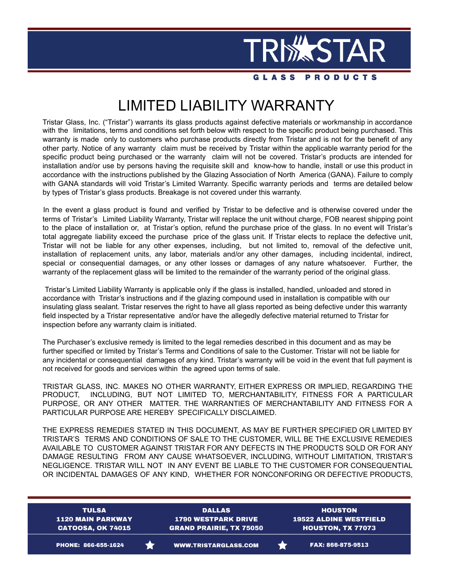

**GLASS PRODUCTS** 

# LIMITED LIABILITY WARRANTY

Tristar Glass, Inc. ("Tristar") warrants its glass products against defective materials or workmanship in accordance with the limitations, terms and conditions set forth below with respect to the specific product being purchased. This warranty is made only to customers who purchase products directly from Tristar and is not for the benefit of any other party. Notice of any warranty claim must be received by Tristar within the applicable warranty period for the specific product being purchased or the warranty claim will not be covered. Tristar's products are intended for installation and/or use by persons having the requisite skill and know-how to handle, install or use this product in accordance with the instructions published by the Glazing Association of North America (GANA). Failure to comply with GANA standards will void Tristar's Limited Warranty. Specific warranty periods and terms are detailed below by types of Tristar's glass products. Breakage is not covered under this warranty.

In the event a glass product is found and verified by Tristar to be defective and is otherwise covered under the terms of Tristar's Limited Liability Warranty, Tristar will replace the unit without charge, FOB nearest shipping point to the place of installation or, at Tristar's option, refund the purchase price of the glass. In no event will Tristar's total aggregate liability exceed the purchase price of the glass unit. If Tristar elects to replace the defective unit, Tristar will not be liable for any other expenses, including, but not limited to, removal of the defective unit, installation of replacement units, any labor, materials and/or any other damages, including incidental, indirect, special or consequential damages, or any other losses or damages of any nature whatsoever. Further, the warranty of the replacement glass will be limited to the remainder of the warranty period of the original glass.

Tristar's Limited Liability Warranty is applicable only if the glass is installed, handled, unloaded and stored in accordance with Tristar's instructions and if the glazing compound used in installation is compatible with our insulating glass sealant. Tristar reserves the right to have all glass reported as being defective under this warranty field inspected by a Tristar representative and/or have the allegedly defective material returned to Tristar for inspection before any warranty claim is initiated.

The Purchaser's exclusive remedy is limited to the legal remedies described in this document and as may be further specified or limited by Tristar's Terms and Conditions of sale to the Customer. Tristar will not be liable for any incidental or consequential damages of any kind. Tristar's warranty will be void in the event that full payment is not received for goods and services within the agreed upon terms of sale.

TRISTAR GLASS, INC. MAKES NO OTHER WARRANTY, EITHER EXPRESS OR IMPLIED, REGARDING THE PRODUCT, INCLUDING, BUT NOT LIMITED TO, MERCHANTABILITY, FITNESS FOR A PARTICULAR PURPOSE, OR ANY OTHER MATTER. THE WARRANTIES OF MERCHANTABILITY AND FITNESS FOR A PARTICULAR PURPOSE ARE HEREBY SPECIFICALLY DISCLAIMED.

THE EXPRESS REMEDIES STATED IN THIS DOCUMENT, AS MAY BE FURTHER SPECIFIED OR LIMITED BY TRISTAR'S TERMS AND CONDITIONS OF SALE TO THE CUSTOMER, WILL BE THE EXCLUSIVE REMEDIES AVAILABLE TO CUSTOMER AGAINST TRISTAR FOR ANY DEFECTS IN THE PRODUCTS SOLD OR FOR ANY DAMAGE RESULTING FROM ANY CAUSE WHATSOEVER, INCLUDING, WITHOUT LIMITATION, TRISTAR'S NEGLIGENCE. TRISTAR WILL NOT IN ANY EVENT BE LIABLE TO THE CUSTOMER FOR CONSEQUENTIAL OR INCIDENTAL DAMAGES OF ANY KIND, WHETHER FOR NONCONFORING OR DEFECTIVE PRODUCTS,

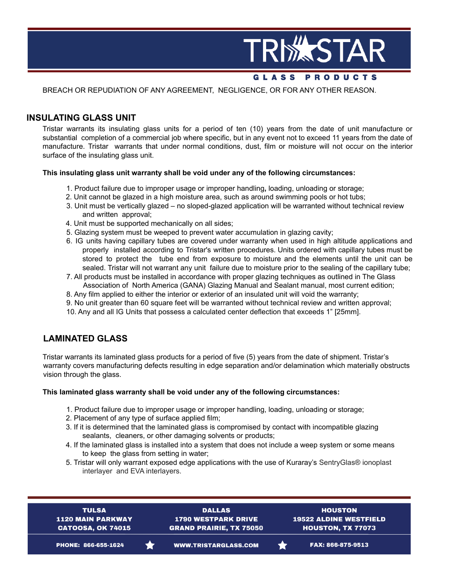

### **GLASS PRODUCTS**

BREACH OR REPUDIATION OF ANY AGREEMENT, NEGLIGENCE, OR FOR ANY OTHER REASON.

## **INSULATING GLASS UNIT**

Tristar warrants its insulating glass units for a period of ten (10) years from the date of unit manufacture or substantial completion of a commercial job where specific, but in any event not to exceed 11 years from the date of manufacture. Tristar warrants that under normal conditions, dust, film or moisture will not occur on the interior surface of the insulating glass unit.

#### **This insulating glass unit warranty shall be void under any of the following circumstances:**

- 1. Product failure due to improper usage or improper handling**,** loading, unloading or storage;
- 2. Unit cannot be glazed in a high moisture area, such as around swimming pools or hot tubs;
- 3. Unit must be vertically glazed no sloped-glazed application will be warranted without technical review and written approval;
- 4. Unit must be supported mechanically on all sides;
- 5. Glazing system must be weeped to prevent water accumulation in glazing cavity;
- 6. IG units having capillary tubes are covered under warranty when used in high altitude applications and properly installed according to Tristar's written procedures. Units ordered with capillary tubes must be stored to protect the tube end from exposure to moisture and the elements until the unit can be sealed. Tristar will not warrant any unit failure due to moisture prior to the sealing of the capillary tube;
- 7. All products must be installed in accordance with proper glazing techniques as outlined in The Glass Association of North America (GANA) Glazing Manual and Sealant manual, most current edition;
- 8. Any film applied to either the interior or exterior of an insulated unit will void the warranty;
- 9. No unit greater than 60 square feet will be warranted without technical review and written approval;
- 10. Any and all IG Units that possess a calculated center deflection that exceeds 1" [25mm].

## **LAMINATED GLASS**

Tristar warrants its laminated glass products for a period of five (5) years from the date of shipment. Tristar's warranty covers manufacturing defects resulting in edge separation and/or delamination which materially obstructs vision through the glass.

#### **This laminated glass warranty shall be void under any of the following circumstances:**

- 1. Product failure due to improper usage or improper handling, loading, unloading or storage;
- 2. Placement of any type of surface applied film;
- 3. If it is determined that the laminated glass is compromised by contact with incompatible glazing sealants, cleaners, or other damaging solvents or products;
- 4. If the laminated glass is installed into a system that does not include a weep system or some means to keep the glass from setting in water;
- 5. Tristar will only warrant exposed edge applications with the use of Kuraray's SentryGlas® ionoplast interlayer and EVA interlayers.